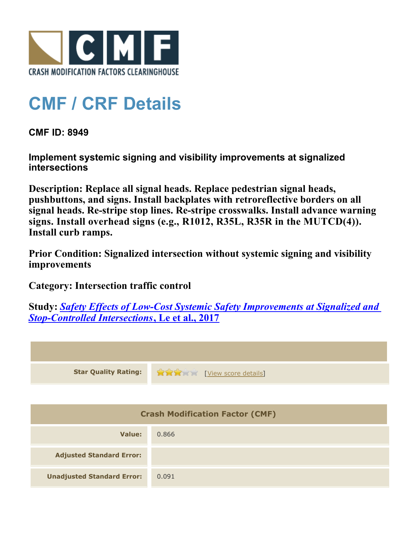

## **CMF / CRF Details**

**CMF ID: 8949**

**Implement systemic signing and visibility improvements at signalized intersections**

**Description: Replace all signal heads. Replace pedestrian signal heads, pushbuttons, and signs. Install backplates with retroreflective borders on all signal heads. Re-stripe stop lines. Re-stripe crosswalks. Install advance warning signs. Install overhead signs (e.g., R1012, R35L, R35R in the MUTCD(4)). Install curb ramps.**

**Prior Condition: Signalized intersection without systemic signing and visibility improvements**

**Category: Intersection traffic control**

**Study:** *[Safety Effects of Low-Cost Systemic Safety Improvements at Signalized and](http://www.cmfclearinghouse.org/study_detail.cfm?stid=492) [Stop-Controlled Intersections](http://www.cmfclearinghouse.org/study_detail.cfm?stid=492)***[, Le et al., 2017](http://www.cmfclearinghouse.org/study_detail.cfm?stid=492)**



| Value:                            | 0.866 |
|-----------------------------------|-------|
| <b>Adjusted Standard Error:</b>   |       |
| <b>Unadjusted Standard Error:</b> | 0.091 |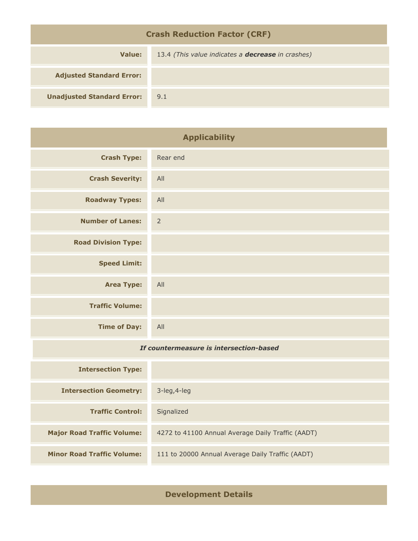| <b>Crash Reduction Factor (CRF)</b> |                                                          |  |
|-------------------------------------|----------------------------------------------------------|--|
| Value:                              | 13.4 (This value indicates a <b>decrease</b> in crashes) |  |
| <b>Adjusted Standard Error:</b>     |                                                          |  |
| <b>Unadjusted Standard Error:</b>   | 9.1                                                      |  |

| <b>Applicability</b>                    |                                                   |
|-----------------------------------------|---------------------------------------------------|
| <b>Crash Type:</b>                      | Rear end                                          |
| <b>Crash Severity:</b>                  | All                                               |
| <b>Roadway Types:</b>                   | All                                               |
| <b>Number of Lanes:</b>                 | $\overline{2}$                                    |
| <b>Road Division Type:</b>              |                                                   |
| <b>Speed Limit:</b>                     |                                                   |
| <b>Area Type:</b>                       | All                                               |
| <b>Traffic Volume:</b>                  |                                                   |
| <b>Time of Day:</b>                     | All                                               |
| If countermeasure is intersection-based |                                                   |
| <b>Intersection Type:</b>               |                                                   |
| <b>Intersection Geometry:</b>           | 3-leg, 4-leg                                      |
| <b>Traffic Control:</b>                 | Signalized                                        |
| <b>Major Road Traffic Volume:</b>       | 4272 to 41100 Annual Average Daily Traffic (AADT) |

**Minor Road Traffic Volume:** 111 to 20000 Annual Average Daily Traffic (AADT)

**Development Details**